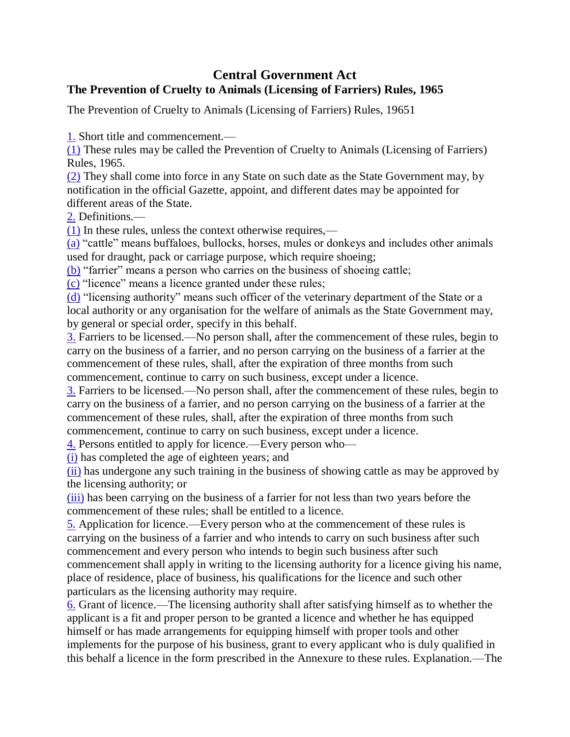## **Central Government Act The Prevention of Cruelty to Animals (Licensing of Farriers) Rules, 1965**

The Prevention of Cruelty to Animals (Licensing of Farriers) Rules, 19651

[1.](https://indiankanoon.org/doc/180059400/) Short title and commencement.—

[\(1\)](https://indiankanoon.org/doc/154880833/) These rules may be called the Prevention of Cruelty to Animals (Licensing of Farriers) Rules, 1965.

[\(2\)](https://indiankanoon.org/doc/14158155/) They shall come into force in any State on such date as the State Government may, by notification in the official Gazette, appoint, and different dates may be appointed for different areas of the State.

[2.](https://indiankanoon.org/doc/158924562/) Definitions.—

[\(1\)](https://indiankanoon.org/doc/66613530/) In these rules, unless the context otherwise requires,—

[\(a\)](https://indiankanoon.org/doc/48902410/) "cattle" means buffaloes, bullocks, horses, mules or donkeys and includes other animals used for draught, pack or carriage purpose, which require shoeing;

[\(b\)](https://indiankanoon.org/doc/32587226/) "farrier" means a person who carries on the business of shoeing cattle;

[\(c\)](https://indiankanoon.org/doc/106303626/) "licence" means a licence granted under these rules;

[\(d\)](https://indiankanoon.org/doc/12037837/) "licensing authority" means such officer of the veterinary department of the State or a local authority or any organisation for the welfare of animals as the State Government may, by general or special order, specify in this behalf.

[3.](https://indiankanoon.org/doc/178557770/) Farriers to be licensed.—No person shall, after the commencement of these rules, begin to carry on the business of a farrier, and no person carrying on the business of a farrier at the commencement of these rules, shall, after the expiration of three months from such commencement, continue to carry on such business, except under a licence.

[3.](https://indiankanoon.org/doc/178557770/) Farriers to be licensed.—No person shall, after the commencement of these rules, begin to carry on the business of a farrier, and no person carrying on the business of a farrier at the commencement of these rules, shall, after the expiration of three months from such commencement, continue to carry on such business, except under a licence.

[4.](https://indiankanoon.org/doc/35695332/) Persons entitled to apply for licence.—Every person who—

[\(i\)](https://indiankanoon.org/doc/140110668/) has completed the age of eighteen years; and

[\(ii\)](https://indiankanoon.org/doc/63337321/) has undergone any such training in the business of showing cattle as may be approved by the licensing authority; or

[\(iii\)](https://indiankanoon.org/doc/103631309/) has been carrying on the business of a farrier for not less than two years before the commencement of these rules; shall be entitled to a licence.

[5.](https://indiankanoon.org/doc/57355423/) Application for licence.—Every person who at the commencement of these rules is carrying on the business of a farrier and who intends to carry on such business after such commencement and every person who intends to begin such business after such commencement shall apply in writing to the licensing authority for a licence giving his name, place of residence, place of business, his qualifications for the licence and such other particulars as the licensing authority may require.

[6.](https://indiankanoon.org/doc/34305322/) Grant of licence.—The licensing authority shall after satisfying himself as to whether the applicant is a fit and proper person to be granted a licence and whether he has equipped himself or has made arrangements for equipping himself with proper tools and other implements for the purpose of his business, grant to every applicant who is duly qualified in this behalf a licence in the form prescribed in the Annexure to these rules. Explanation.—The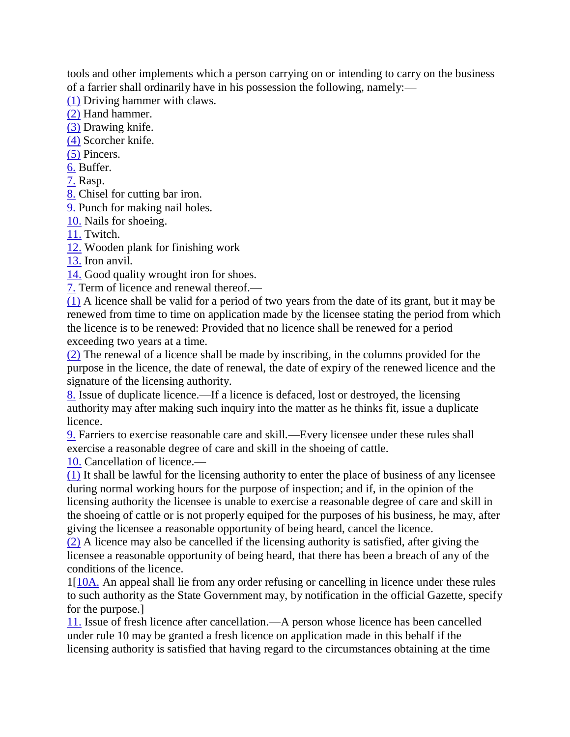tools and other implements which a person carrying on or intending to carry on the business of a farrier shall ordinarily have in his possession the following, namely:—

[\(1\)](https://indiankanoon.org/doc/76472817/) Driving hammer with claws.

[\(2\)](https://indiankanoon.org/doc/31089876/) Hand hammer.

[\(3\)](https://indiankanoon.org/doc/104436495/) Drawing knife.

[\(4\)](https://indiankanoon.org/doc/126818870/) Scorcher knife.

[\(5\)](https://indiankanoon.org/doc/53536533/) Pincers.

[6.](https://indiankanoon.org/doc/34305322/) Buffer.

[7.](https://indiankanoon.org/doc/169643999/) Rasp.

[8.](https://indiankanoon.org/doc/32115127/) Chisel for cutting bar iron.

[9.](https://indiankanoon.org/doc/186972677/) Punch for making nail holes.

[10.](https://indiankanoon.org/doc/176997701/) Nails for shoeing.

[11.](https://indiankanoon.org/doc/105663337/) Twitch.

[12.](https://indiankanoon.org/doc/46484461/) Wooden plank for finishing work

[13.](https://indiankanoon.org/doc/179825375/) Iron anvil.

[14.](https://indiankanoon.org/doc/168873799/) Good quality wrought iron for shoes.

[7.](https://indiankanoon.org/doc/169643999/) Term of licence and renewal thereof.—

[\(1\)](https://indiankanoon.org/doc/42241927/) A licence shall be valid for a period of two years from the date of its grant, but it may be renewed from time to time on application made by the licensee stating the period from which the licence is to be renewed: Provided that no licence shall be renewed for a period exceeding two years at a time.

[\(2\)](https://indiankanoon.org/doc/6869484/) The renewal of a licence shall be made by inscribing, in the columns provided for the purpose in the licence, the date of renewal, the date of expiry of the renewed licence and the signature of the licensing authority.

[8.](https://indiankanoon.org/doc/32115127/) Issue of duplicate licence.—If a licence is defaced, lost or destroyed, the licensing authority may after making such inquiry into the matter as he thinks fit, issue a duplicate licence.

[9.](https://indiankanoon.org/doc/186972677/) Farriers to exercise reasonable care and skill.—Every licensee under these rules shall exercise a reasonable degree of care and skill in the shoeing of cattle.

[10.](https://indiankanoon.org/doc/176997701/) Cancellation of licence.—

[\(1\)](https://indiankanoon.org/doc/23756576/) It shall be lawful for the licensing authority to enter the place of business of any licensee during normal working hours for the purpose of inspection; and if, in the opinion of the licensing authority the licensee is unable to exercise a reasonable degree of care and skill in the shoeing of cattle or is not properly equiped for the purposes of his business, he may, after giving the licensee a reasonable opportunity of being heard, cancel the licence.

[\(2\)](https://indiankanoon.org/doc/143651347/) A licence may also be cancelled if the licensing authority is satisfied, after giving the licensee a reasonable opportunity of being heard, that there has been a breach of any of the conditions of the licence.

1[\[10A.](https://indiankanoon.org/doc/26962406/) An appeal shall lie from any order refusing or cancelling in licence under these rules to such authority as the State Government may, by notification in the official Gazette, specify for the purpose.]

[11.](https://indiankanoon.org/doc/105663337/) Issue of fresh licence after cancellation.—A person whose licence has been cancelled under rule 10 may be granted a fresh licence on application made in this behalf if the licensing authority is satisfied that having regard to the circumstances obtaining at the time